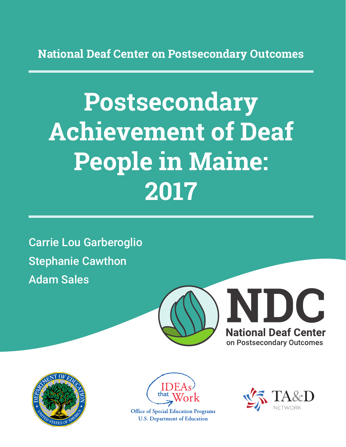**National Deaf Center on Postsecondary Outcomes**

# **Postsecondary Achievement of Deaf People in Maine: 2017**

Carrie Lou Garberoglio Stephanie Cawthon Adam Sales







**Office of Special Education Programs U.S. Department of Education** 

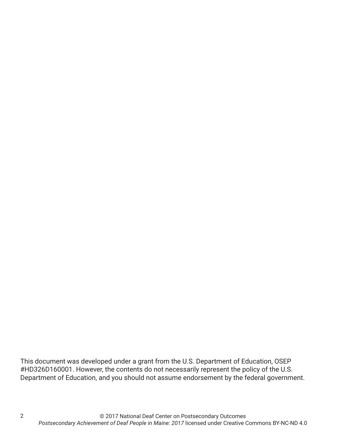This document was developed under a grant from the U.S. Department of Education, OSEP #HD326D160001. However, the contents do not necessarily represent the policy of the U.S. Department of Education, and you should not assume endorsement by the federal government.

2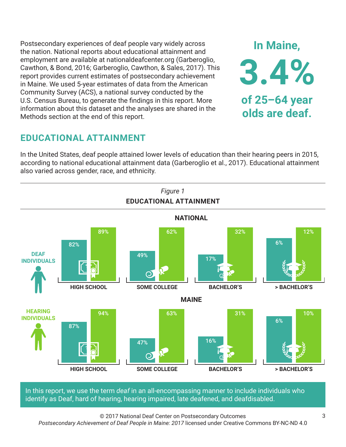Postsecondary experiences of deaf people vary widely across the nation. National reports about educational attainment and employment are available at nationaldeafcenter.org (Garberoglio, Cawthon, & Bond, 2016; Garberoglio, Cawthon, & Sales, 2017). This report provides current estimates of postsecondary achievement in Maine. We used 5-year estimates of data from the American Community Survey (ACS), a national survey conducted by the U.S. Census Bureau, to generate the findings in this report. More information about this dataset and the analyses are shared in the Methods section at the end of this report.

## **EDUCATIONAL ATTAINMENT**

In the United States, deaf people attained lower levels of education than their hearing peers in 2015, according to national educational attainment data (Garberoglio et al., 2017). Educational attainment also varied across gender, race, and ethnicity.



In this report, we use the term *deaf* in an all-encompassing manner to include individuals who identify as Deaf, hard of hearing, hearing impaired, late deafened, and deafdisabled.

© 2017 National Deaf Center on Postsecondary Outcomes *Postsecondary Achievement of Deaf People in Maine: 2017* licensed under Creative Commons BY-NC-ND 4.0

**In Maine,**

**3.4%**

**of 25–64 year**

**olds are deaf.**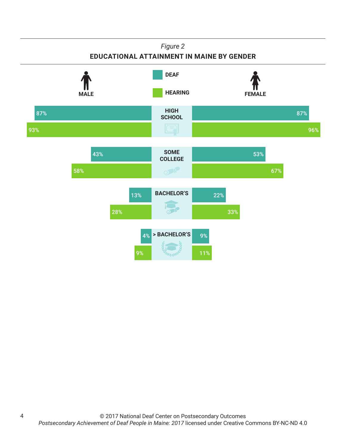#### *Figure 2* **EDUCATIONAL ATTAINMENT IN MAINE BY GENDER HIGH SCHOOL SOME COLLEGE BACHELOR'S > BACHELOR'S HEARING** FEMALE **DEAF** 87% 93% 87% 96% 43% 58% 53% 67% 13% 28% 22% 33% 4% 9% 9% 11%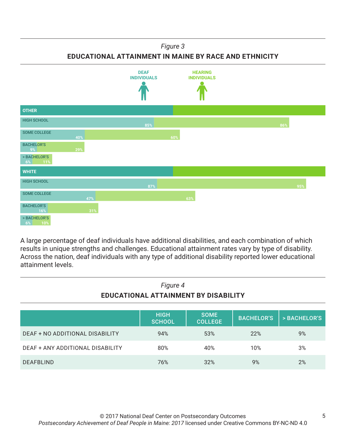#### *Figure 3*

**EDUCATIONAL ATTAINMENT IN MAINE BY RACE AND ETHNICITY**



A large percentage of deaf individuals have additional disabilities, and each combination of which results in unique strengths and challenges. Educational attainment rates vary by type of disability. Across the nation, deaf individuals with any type of additional disability reported lower educational attainment levels.

| Figure 4<br>EDUCATIONAL ATTAINMENT BY DISABILITY |                              |                               |                   |              |
|--------------------------------------------------|------------------------------|-------------------------------|-------------------|--------------|
|                                                  | <b>HIGH</b><br><b>SCHOOL</b> | <b>SOME</b><br><b>COLLEGE</b> | <b>BACHELOR'S</b> | > BACHELOR'S |
| DEAF + NO ADDITIONAL DISABILITY                  | 94%                          | 53%                           | 22%               | 9%           |
| DEAF + ANY ADDITIONAL DISABILITY                 | 80%                          | 40%                           | 10%               | 3%           |
| <b>DEAFBLIND</b>                                 | 76%                          | 32%                           | 9%                | 2%           |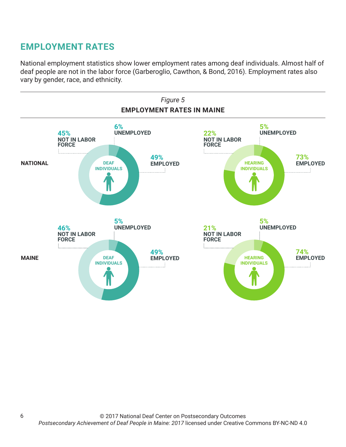## **EMPLOYMENT RATES**

National employment statistics show lower employment rates among deaf individuals. Almost half of deaf people are not in the labor force (Garberoglio, Cawthon, & Bond, 2016). Employment rates also vary by gender, race, and ethnicity.

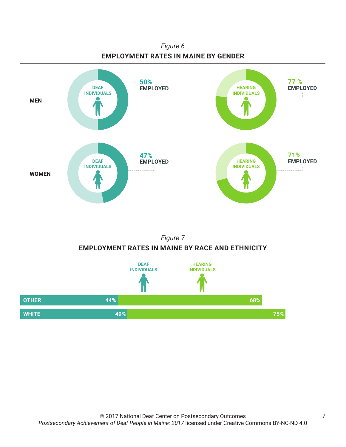



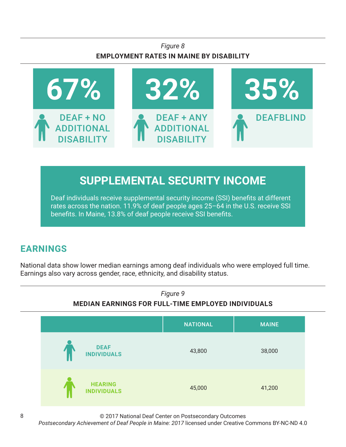## *Figure 8* **EMPLOYMENT RATES IN MAINE BY DISABILITY**



## **SUPPLEMENTAL SECURITY INCOME**

Deaf individuals receive supplemental security income (SSI) benefits at different rates across the nation. 11.9% of deaf people ages 25–64 in the U.S. receive SSI benefits. In Maine, 13.8% of deaf people receive SSI benefits.

## **EARNINGS**

National data show lower median earnings among deaf individuals who were employed full time. Earnings also vary across gender, race, ethnicity, and disability status.



© 2017 National Deaf Center on Postsecondary Outcomes

*Postsecondary Achievement of Deaf People in Maine: 2017* licensed under Creative Commons BY-NC-ND 4.0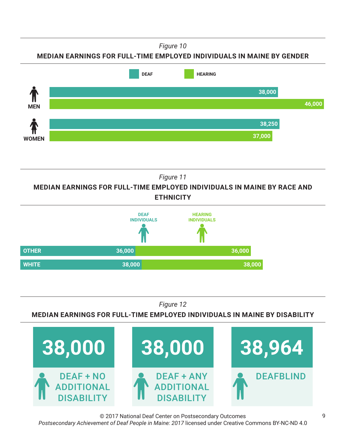*Figure 10*

### **MEDIAN EARNINGS FOR FULL-TIME EMPLOYED INDIVIDUALS IN MAINE BY GENDER**



*Figure 11*

**MEDIAN EARNINGS FOR FULL-TIME EMPLOYED INDIVIDUALS IN MAINE BY RACE AND ETHNICITY**



*Figure 12*

#### **MEDIAN EARNINGS FOR FULL-TIME EMPLOYED INDIVIDUALS IN MAINE BY DISABILITY**



© 2017 National Deaf Center on Postsecondary Outcomes *Postsecondary Achievement of Deaf People in Maine: 2017* licensed under Creative Commons BY-NC-ND 4.0